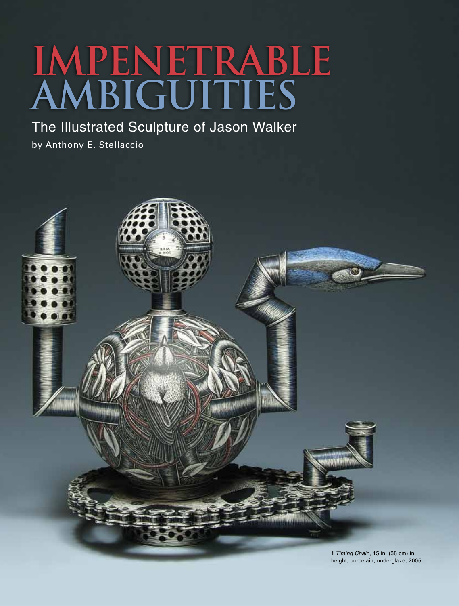## **Impenetrable Ambiguities**

The Illustrated Sculpture of Jason Walker

by Anthony E. Stellaccio

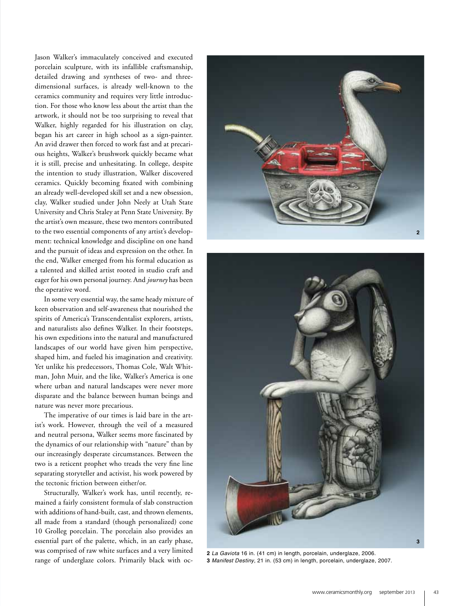Jason Walker's immaculately conceived and executed porcelain sculpture, with its infallible craftsmanship, detailed drawing and syntheses of two- and threedimensional surfaces, is already well-known to the ceramics community and requires very little introduction. For those who know less about the artist than the artwork, it should not be too surprising to reveal that Walker, highly regarded for his illustration on clay, began his art career in high school as a sign-painter. An avid drawer then forced to work fast and at precarious heights, Walker's brushwork quickly became what it is still, precise and unhesitating. In college, despite the intention to study illustration, Walker discovered ceramics. Quickly becoming fixated with combining an already well-developed skill set and a new obsession, clay, Walker studied under John Neely at Utah State University and Chris Staley at Penn State University. By the artist's own measure, these two mentors contributed to the two essential components of any artist's development: technical knowledge and discipline on one hand and the pursuit of ideas and expression on the other. In the end, Walker emerged from his formal education as a talented and skilled artist rooted in studio craft and eager for his own personal journey. And *journey* has been the operative word.

In some very essential way, the same heady mixture of keen observation and self-awareness that nourished the spirits of America's Transcendentalist explorers, artists, and naturalists also defines Walker. In their footsteps, his own expeditions into the natural and manufactured landscapes of our world have given him perspective, shaped him, and fueled his imagination and creativity. Yet unlike his predecessors, Thomas Cole, Walt Whitman, John Muir, and the like, Walker's America is one where urban and natural landscapes were never more disparate and the balance between human beings and nature was never more precarious.

The imperative of our times is laid bare in the artist's work. However, through the veil of a measured and neutral persona, Walker seems more fascinated by the dynamics of our relationship with "nature" than by our increasingly desperate circumstances. Between the two is a reticent prophet who treads the very fine line separating storyteller and activist, his work powered by the tectonic friction between either/or.

Structurally, Walker's work has, until recently, remained a fairly consistent formula of slab construction with additions of hand-built, cast, and thrown elements, all made from a standard (though personalized) cone 10 Grolleg porcelain. The porcelain also provides an essential part of the palette, which, in an early phase, was comprised of raw white surfaces and a very limited was comprised of raw white surfaces and a very fimited **2** *La Gaviota* 16 in. (41 cm) in length, porcelain, underglaze, 2006.<br>Tange of underglaze colors. Primarily black with oc-**3** Manifest Destiny, 21 in. (53 cm) in len





**3** *Manifest Destiny*, 21 in. (53 cm) in length, porcelain, underglaze, 2007.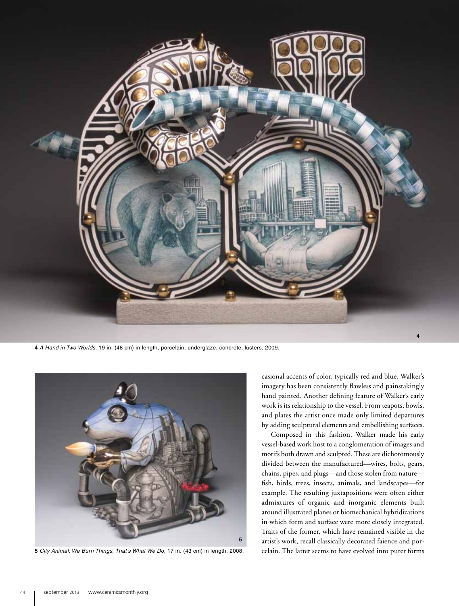

**4** *A Hand in Two Worlds*, 19 in. (48 cm) in length, porcelain, underglaze, concrete, lusters, 2009.



**5** *City Animal: We Burn Things, That's What We Do*, 17 in. (43 cm) in length, 2008.

casional accents of color, typically red and blue, Walker's imagery has been consistently flawless and painstakingly hand painted. Another defining feature of Walker's early work is its relationship to the vessel. From teapots, bowls, and plates the artist once made only limited departures by adding sculptural elements and embellishing surfaces.

Composed in this fashion, Walker made his early vessel-based work host to a conglomeration of images and motifs both drawn and sculpted. These are dichotomously divided between the manufactured—wires, bolts, gears, chains, pipes, and plugs—and those stolen from nature fish, birds, trees, insects, animals, and landscapes—for example. The resulting juxtapositions were often either admixtures of organic and inorganic elements built around illustrated planes or biomechanical hybridizations in which form and surface were more closely integrated. Traits of the former, which have remained visible in the artist's work, recall classically decorated faience and porcelain. The latter seems to have evolved into purer forms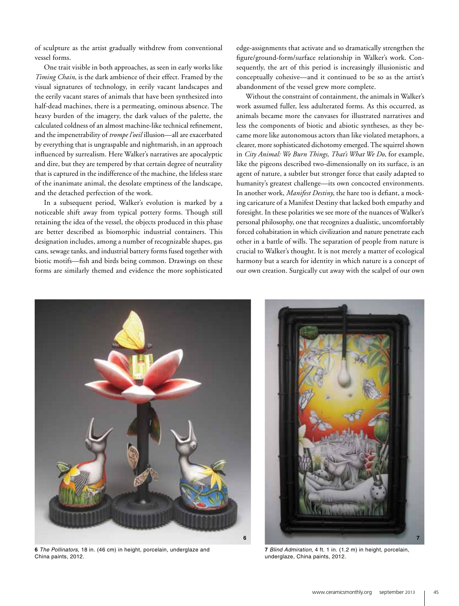of sculpture as the artist gradually withdrew from conventional vessel forms.

One trait visible in both approaches, as seen in early works like *Timing Chain*, is the dark ambience of their effect. Framed by the visual signatures of technology, in eerily vacant landscapes and the eerily vacant stares of animals that have been synthesized into half-dead machines, there is a permeating, ominous absence. The heavy burden of the imagery, the dark values of the palette, the calculated coldness of an almost machine-like technical refinement, and the impenetrability of *trompe l'oeil* illusion—all are exacerbated by everything that is ungraspable and nightmarish, in an approach influenced by surrealism. Here Walker's narratives are apocalyptic and dire, but they are tempered by that certain degree of neutrality that is captured in the indifference of the machine, the lifeless stare of the inanimate animal, the desolate emptiness of the landscape, and the detached perfection of the work.

In a subsequent period, Walker's evolution is marked by a noticeable shift away from typical pottery forms. Though still retaining the idea of the vessel, the objects produced in this phase are better described as biomorphic industrial containers. This designation includes, among a number of recognizable shapes, gas cans, sewage tanks, and industrial battery forms fused together with biotic motifs—fish and birds being common. Drawings on these forms are similarly themed and evidence the more sophisticated

edge-assignments that activate and so dramatically strengthen the figure/ground-form/surface relationship in Walker's work. Consequently, the art of this period is increasingly illusionistic and conceptually cohesive—and it continued to be so as the artist's abandonment of the vessel grew more complete.

Without the constraint of containment, the animals in Walker's work assumed fuller, less adulterated forms. As this occurred, as animals became more the canvases for illustrated narratives and less the components of biotic and abiotic syntheses, as they became more like autonomous actors than like violated metaphors, a clearer, more sophisticated dichotomy emerged. The squirrel shown in *City Animal: We Burn Things, That's What We Do*, for example, like the pigeons described two-dimensionally on its surface, is an agent of nature, a subtler but stronger force that easily adapted to humanity's greatest challenge—its own concocted environments. In another work, *Manifest Destiny*, the hare too is defiant, a mocking caricature of a Manifest Destiny that lacked both empathy and foresight. In these polarities we see more of the nuances of Walker's personal philosophy, one that recognizes a dualistic, uncomfortably forced cohabitation in which civilization and nature penetrate each other in a battle of wills. The separation of people from nature is crucial to Walker's thought. It is not merely a matter of ecological harmony but a search for identity in which nature is a concept of our own creation. Surgically cut away with the scalpel of our own



**6** *The Pollinators*, 18 in. (46 cm) in height, porcelain, underglaze and China paints, 2012.



**7** *Blind Admiration*, 4 ft. 1 in. (1.2 m) in height, porcelain, underglaze, China paints, 2012.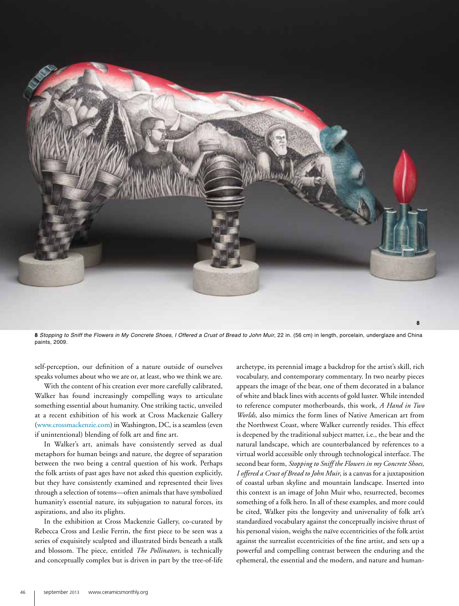

**8** *Stopping to Sniff the Flowers in My Concrete Shoes, I Offered a Crust of Bread to John Muir*, 22 in. (56 cm) in length, porcelain, underglaze and China paints, 2009.

self-perception, our definition of a nature outside of ourselves speaks volumes about who we are or, at least, who we think we are.

With the content of his creation ever more carefully calibrated, Walker has found increasingly compelling ways to articulate something essential about humanity. One striking tactic, unveiled at a recent exhibition of his work at Cross Mackenzie Gallery (www.crossmackenzie.com) in Washington, DC, is a seamless (even if unintentional) blending of folk art and fine art.

In Walker's art, animals have consistently served as dual metaphors for human beings and nature, the degree of separation between the two being a central question of his work. Perhaps the folk artists of past ages have not asked this question explicitly, but they have consistently examined and represented their lives through a selection of totems—often animals that have symbolized humanity's essential nature, its subjugation to natural forces, its aspirations, and also its plights.

In the exhibition at Cross Mackenzie Gallery, co-curated by Rebecca Cross and Leslie Ferrin, the first piece to be seen was a series of exquisitely sculpted and illustrated birds beneath a stalk and blossom. The piece, entitled *The Pollinators*, is technically and conceptually complex but is driven in part by the tree-of-life

archetype, its perennial image a backdrop for the artist's skill, rich vocabulary, and contemporary commentary. In two nearby pieces appears the image of the bear, one of them decorated in a balance of white and black lines with accents of gold luster. While intended to reference computer motherboards, this work, *A Hand in Two Worlds*, also mimics the form lines of Native American art from the Northwest Coast, where Walker currently resides. This effect is deepened by the traditional subject matter, i.e., the bear and the natural landscape, which are counterbalanced by references to a virtual world accessible only through technological interface. The second bear form, *Stopping to Sniff the Flowers in my Concrete Shoes, I offered a Crust of Bread to John Muir*, is a canvas for a juxtaposition of coastal urban skyline and mountain landscape. Inserted into this context is an image of John Muir who, resurrected, becomes something of a folk hero. In all of these examples, and more could be cited, Walker pits the longevity and universality of folk art's standardized vocabulary against the conceptually incisive thrust of his personal vision, weighs the naïve eccentricities of the folk artist against the surrealist eccentricities of the fine artist, and sets up a powerful and compelling contrast between the enduring and the ephemeral, the essential and the modern, and nature and human-